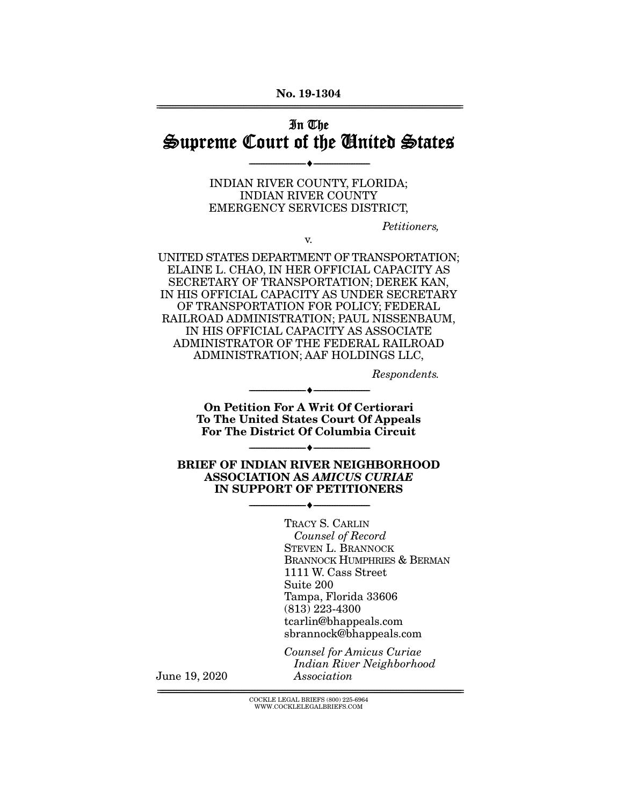No. 19-1304 ================================================================================================================

## In The Supreme Court of the United States

--------------------------------- ---------------------------------

INDIAN RIVER COUNTY, FLORIDA; INDIAN RIVER COUNTY EMERGENCY SERVICES DISTRICT,

v.

*Petitioners,* 

UNITED STATES DEPARTMENT OF TRANSPORTATION; ELAINE L. CHAO, IN HER OFFICIAL CAPACITY AS SECRETARY OF TRANSPORTATION; DEREK KAN, IN HIS OFFICIAL CAPACITY AS UNDER SECRETARY OF TRANSPORTATION FOR POLICY; FEDERAL RAILROAD ADMINISTRATION; PAUL NISSENBAUM, IN HIS OFFICIAL CAPACITY AS ASSOCIATE ADMINISTRATOR OF THE FEDERAL RAILROAD ADMINISTRATION; AAF HOLDINGS LLC,

*Respondents.* 

On Petition For A Writ Of Certiorari To The United States Court Of Appeals For The District Of Columbia Circuit

--------------------------------- ---------------------------------

--------------------------------- ---------------------------------

BRIEF OF INDIAN RIVER NEIGHBORHOOD ASSOCIATION AS *AMICUS CURIAE* IN SUPPORT OF PETITIONERS

--------------------------------- ---------------------------------

TRACY S. CARLIN *Counsel of Record*  STEVEN L. BRANNOCK BRANNOCK HUMPHRIES & BERMAN 1111 W. Cass Street Suite 200 Tampa, Florida 33606 (813) 223-4300 tcarlin@bhappeals.com sbrannock@bhappeals.com

*Counsel for Amicus Curiae Indian River Neighborhood Association*

June 19, 2020

 ${ \rm COCKLE}$  LEGAL BRIEFS (800) 225-6964 WWW.COCKLELEGALBRIEFS.COM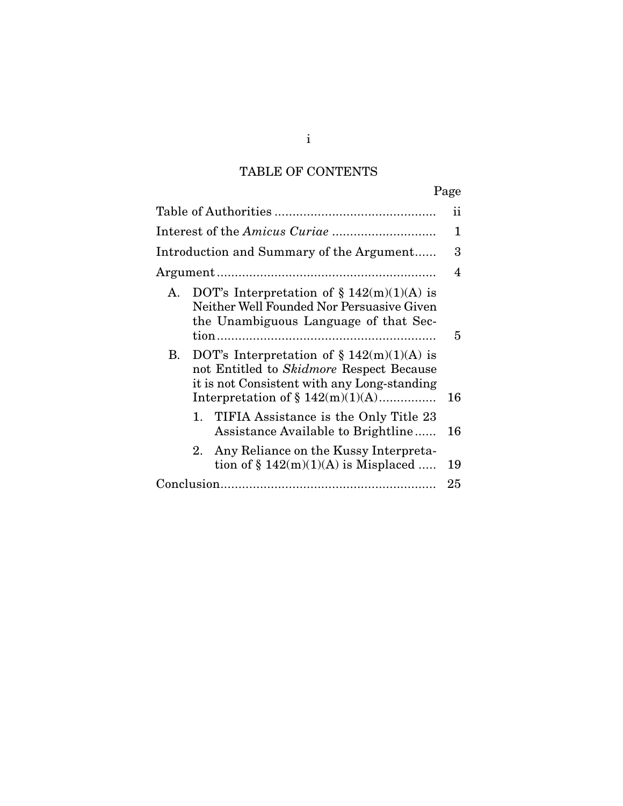# TABLE OF CONTENTS

|                                                                                                                                                                                      | 11 |  |
|--------------------------------------------------------------------------------------------------------------------------------------------------------------------------------------|----|--|
|                                                                                                                                                                                      |    |  |
| Introduction and Summary of the Argument                                                                                                                                             |    |  |
|                                                                                                                                                                                      |    |  |
| DOT's Interpretation of $\S 142(m)(1)(A)$ is<br>A.<br>Neither Well Founded Nor Persuasive Given<br>the Unambiguous Language of that Sec-                                             | 5  |  |
| DOT's Interpretation of $\S 142(m)(1)(A)$ is<br>В.<br>not Entitled to Skidmore Respect Because<br>it is not Consistent with any Long-standing<br>Interpretation of $\S 142(m)(1)(A)$ |    |  |
| 1. TIFIA Assistance is the Only Title 23<br>Assistance Available to Brightline                                                                                                       | 16 |  |
| Any Reliance on the Kussy Interpreta-<br>2.<br>tion of $\S 142(m)(1)(A)$ is Misplaced                                                                                                | 19 |  |
|                                                                                                                                                                                      |    |  |

i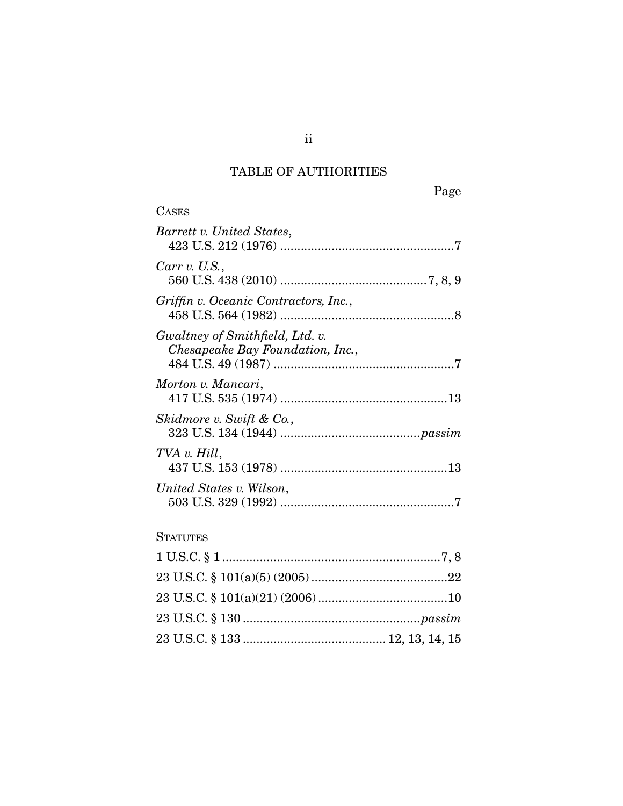## TABLE OF AUTHORITIES

| <b>CASES</b>                                                        |  |
|---------------------------------------------------------------------|--|
| Barrett v. United States,                                           |  |
| Carr v. U.S.,                                                       |  |
| Griffin v. Oceanic Contractors, Inc.,                               |  |
| Gwaltney of Smithfield, Ltd. v.<br>Chesapeake Bay Foundation, Inc., |  |
| Morton v. Mancari,                                                  |  |
| Skidmore v. Swift & Co.,                                            |  |
| TVA v. Hill,                                                        |  |
| United States v. Wilson,                                            |  |
|                                                                     |  |

### **STATUTES**

ii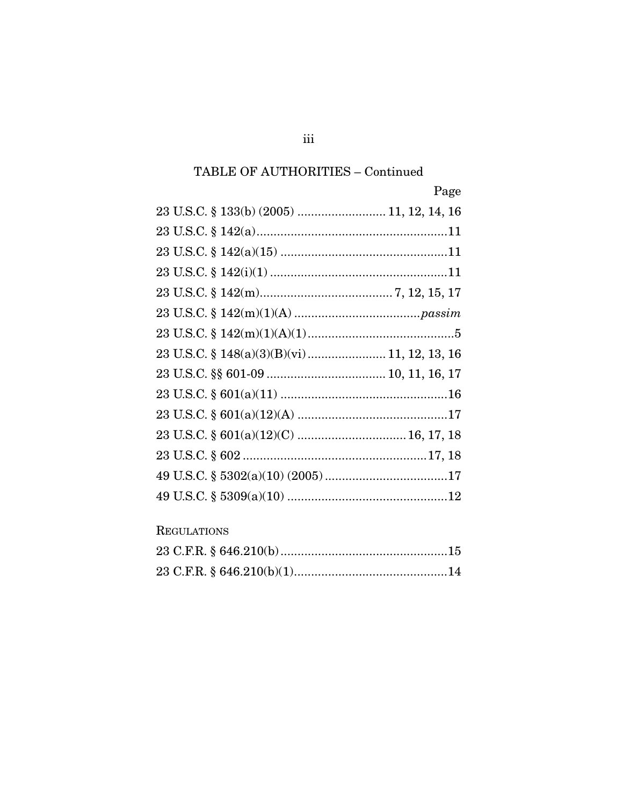## ${\bf TABLE\ OF\ AUTHORITIES-Continued}$

| Page                                        |
|---------------------------------------------|
| 23 U.S.C. § 133(b) (2005)  11, 12, 14, 16   |
|                                             |
|                                             |
|                                             |
|                                             |
|                                             |
|                                             |
| 23 U.S.C. § 148(a)(3)(B)(vi) 11, 12, 13, 16 |
|                                             |
|                                             |
|                                             |
|                                             |
|                                             |
|                                             |
|                                             |

## **REGULATIONS**

iii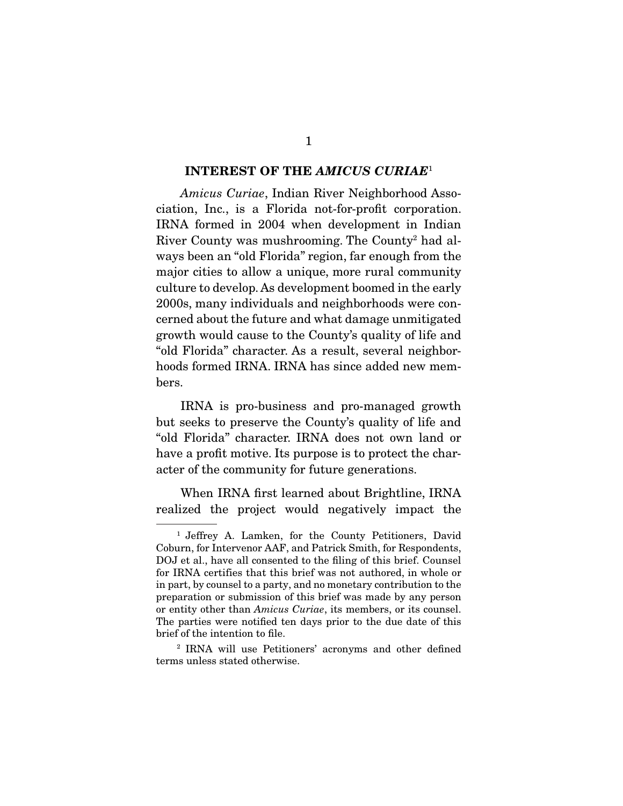#### INTEREST OF THE *AMICUS CURIAE*<sup>1</sup>

*Amicus Curiae*, Indian River Neighborhood Association, Inc., is a Florida not-for-profit corporation. IRNA formed in 2004 when development in Indian River County was mushrooming. The County2 had always been an "old Florida" region, far enough from the major cities to allow a unique, more rural community culture to develop. As development boomed in the early 2000s, many individuals and neighborhoods were concerned about the future and what damage unmitigated growth would cause to the County's quality of life and "old Florida" character. As a result, several neighborhoods formed IRNA. IRNA has since added new members.

 IRNA is pro-business and pro-managed growth but seeks to preserve the County's quality of life and "old Florida" character. IRNA does not own land or have a profit motive. Its purpose is to protect the character of the community for future generations.

 When IRNA first learned about Brightline, IRNA realized the project would negatively impact the

<sup>1</sup> Jeffrey A. Lamken, for the County Petitioners, David Coburn, for Intervenor AAF, and Patrick Smith, for Respondents, DOJ et al., have all consented to the filing of this brief. Counsel for IRNA certifies that this brief was not authored, in whole or in part, by counsel to a party, and no monetary contribution to the preparation or submission of this brief was made by any person or entity other than *Amicus Curiae*, its members, or its counsel. The parties were notified ten days prior to the due date of this brief of the intention to file.

<sup>2</sup> IRNA will use Petitioners' acronyms and other defined terms unless stated otherwise.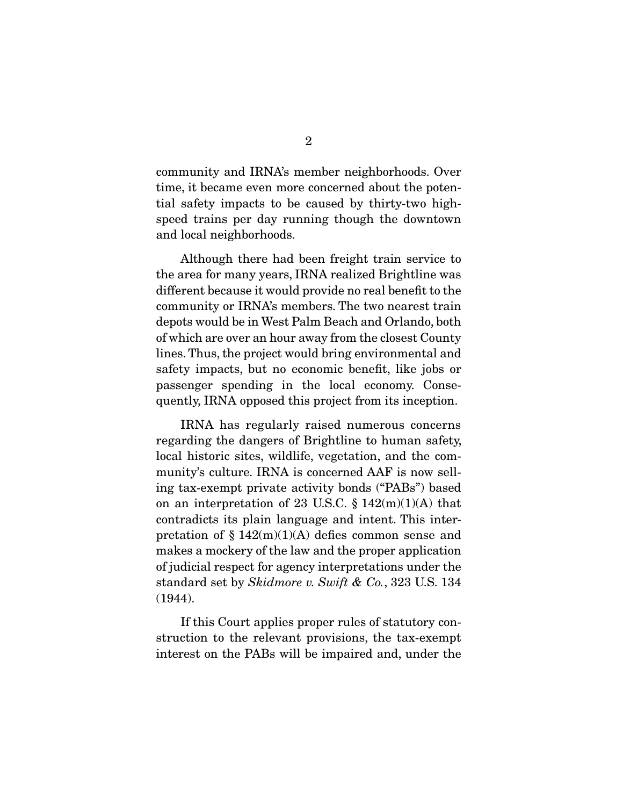community and IRNA's member neighborhoods. Over time, it became even more concerned about the potential safety impacts to be caused by thirty-two highspeed trains per day running though the downtown and local neighborhoods.

 Although there had been freight train service to the area for many years, IRNA realized Brightline was different because it would provide no real benefit to the community or IRNA's members. The two nearest train depots would be in West Palm Beach and Orlando, both of which are over an hour away from the closest County lines. Thus, the project would bring environmental and safety impacts, but no economic benefit, like jobs or passenger spending in the local economy. Consequently, IRNA opposed this project from its inception.

 IRNA has regularly raised numerous concerns regarding the dangers of Brightline to human safety, local historic sites, wildlife, vegetation, and the community's culture. IRNA is concerned AAF is now selling tax-exempt private activity bonds ("PABs") based on an interpretation of 23 U.S.C.  $\S 142(m)(1)(A)$  that contradicts its plain language and intent. This interpretation of  $\S 142(m)(1)(A)$  defies common sense and makes a mockery of the law and the proper application of judicial respect for agency interpretations under the standard set by *Skidmore v. Swift & Co.*, 323 U.S. 134 (1944).

 If this Court applies proper rules of statutory construction to the relevant provisions, the tax-exempt interest on the PABs will be impaired and, under the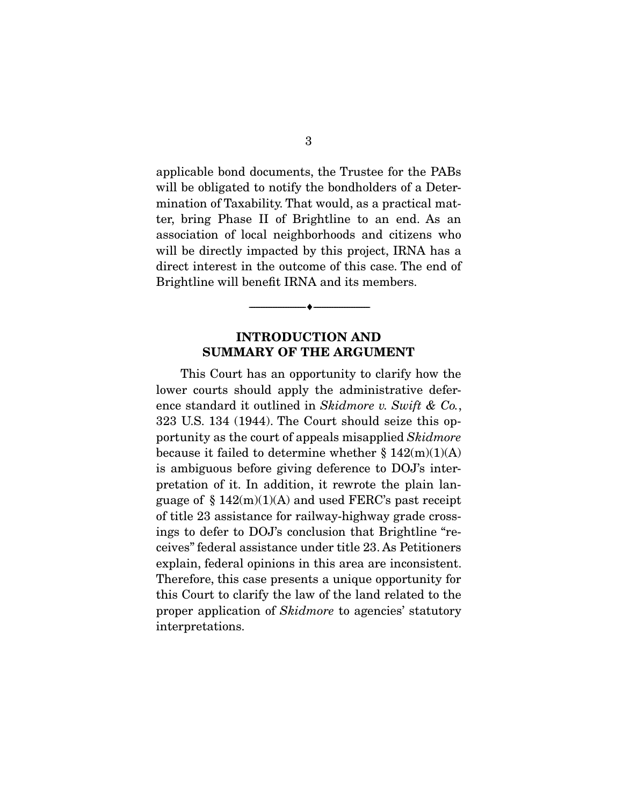applicable bond documents, the Trustee for the PABs will be obligated to notify the bondholders of a Determination of Taxability. That would, as a practical matter, bring Phase II of Brightline to an end. As an association of local neighborhoods and citizens who will be directly impacted by this project, IRNA has a direct interest in the outcome of this case. The end of Brightline will benefit IRNA and its members.

### INTRODUCTION AND SUMMARY OF THE ARGUMENT

--------------------------------- ---------------------------------

 This Court has an opportunity to clarify how the lower courts should apply the administrative deference standard it outlined in *Skidmore v. Swift & Co.*, 323 U.S. 134 (1944). The Court should seize this opportunity as the court of appeals misapplied *Skidmore* because it failed to determine whether  $\S 142(m)(1)(A)$ is ambiguous before giving deference to DOJ's interpretation of it. In addition, it rewrote the plain language of  $\S 142(m)(1)(A)$  and used FERC's past receipt of title 23 assistance for railway-highway grade crossings to defer to DOJ's conclusion that Brightline "receives" federal assistance under title 23. As Petitioners explain, federal opinions in this area are inconsistent. Therefore, this case presents a unique opportunity for this Court to clarify the law of the land related to the proper application of *Skidmore* to agencies' statutory interpretations.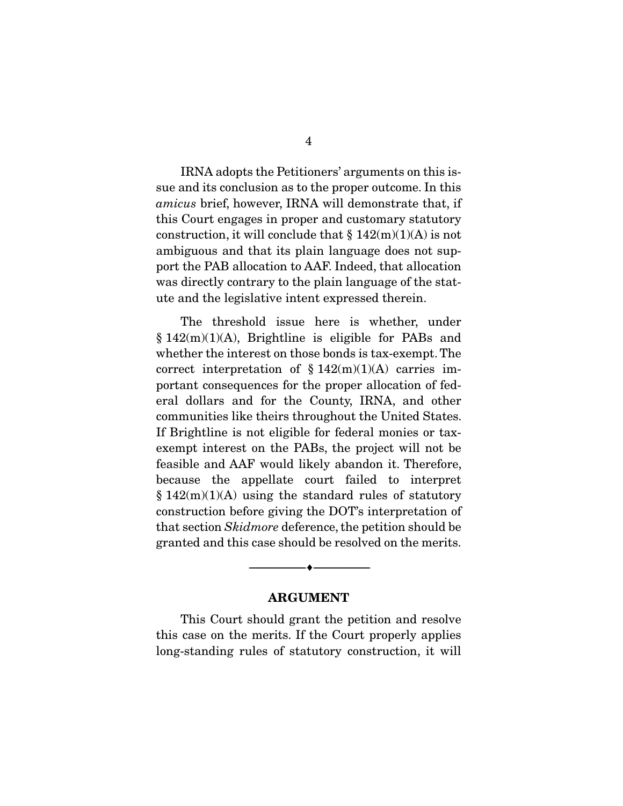IRNA adopts the Petitioners' arguments on this issue and its conclusion as to the proper outcome. In this *amicus* brief, however, IRNA will demonstrate that, if this Court engages in proper and customary statutory construction, it will conclude that  $\S 142(m)(1)(A)$  is not ambiguous and that its plain language does not support the PAB allocation to AAF. Indeed, that allocation was directly contrary to the plain language of the statute and the legislative intent expressed therein.

 The threshold issue here is whether, under § 142(m)(1)(A), Brightline is eligible for PABs and whether the interest on those bonds is tax-exempt. The correct interpretation of  $$142(m)(1)(A)$  carries important consequences for the proper allocation of federal dollars and for the County, IRNA, and other communities like theirs throughout the United States. If Brightline is not eligible for federal monies or taxexempt interest on the PABs, the project will not be feasible and AAF would likely abandon it. Therefore, because the appellate court failed to interpret  $§ 142(m)(1)(A)$  using the standard rules of statutory construction before giving the DOT's interpretation of that section *Skidmore* deference, the petition should be granted and this case should be resolved on the merits.

#### ARGUMENT

--------------------------------- ---------------------------------

 This Court should grant the petition and resolve this case on the merits. If the Court properly applies long-standing rules of statutory construction, it will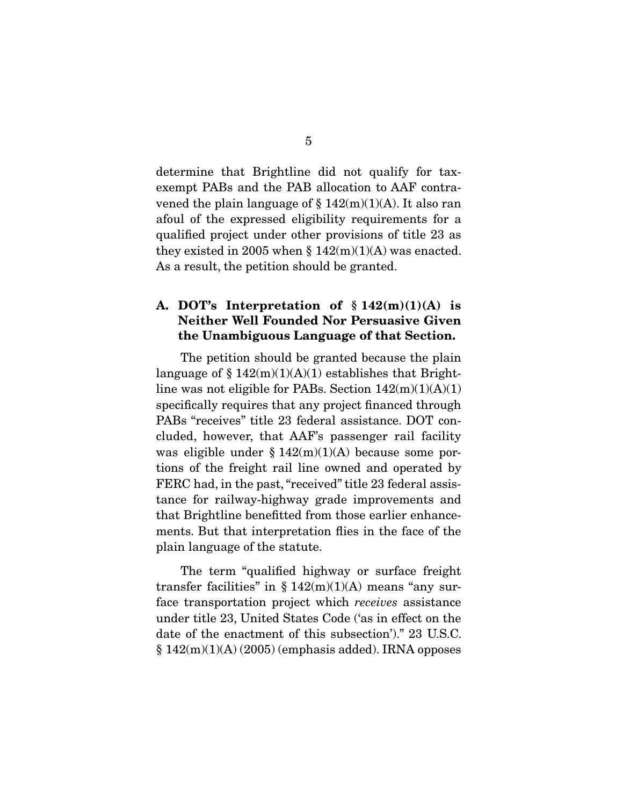determine that Brightline did not qualify for taxexempt PABs and the PAB allocation to AAF contravened the plain language of  $\S 142(m)(1)(A)$ . It also ran afoul of the expressed eligibility requirements for a qualified project under other provisions of title 23 as they existed in 2005 when  $\S 142(m)(1)(A)$  was enacted. As a result, the petition should be granted.

### A. DOT's Interpretation of  $$142(m)(1)(A)$  is Neither Well Founded Nor Persuasive Given the Unambiguous Language of that Section.

 The petition should be granted because the plain language of  $\S 142(m)(1)(A)(1)$  establishes that Brightline was not eligible for PABs. Section  $142(m)(1)(A)(1)$ specifically requires that any project financed through PABs "receives" title 23 federal assistance. DOT concluded, however, that AAF's passenger rail facility was eligible under  $\S 142(m)(1)(A)$  because some portions of the freight rail line owned and operated by FERC had, in the past, "received" title 23 federal assistance for railway-highway grade improvements and that Brightline benefitted from those earlier enhancements. But that interpretation flies in the face of the plain language of the statute.

 The term "qualified highway or surface freight transfer facilities" in  $\S 142(m)(1)(A)$  means "any surface transportation project which *receives* assistance under title 23, United States Code ('as in effect on the date of the enactment of this subsection')." 23 U.S.C.  $\S 142(m)(1)(A) (2005)$  (emphasis added). IRNA opposes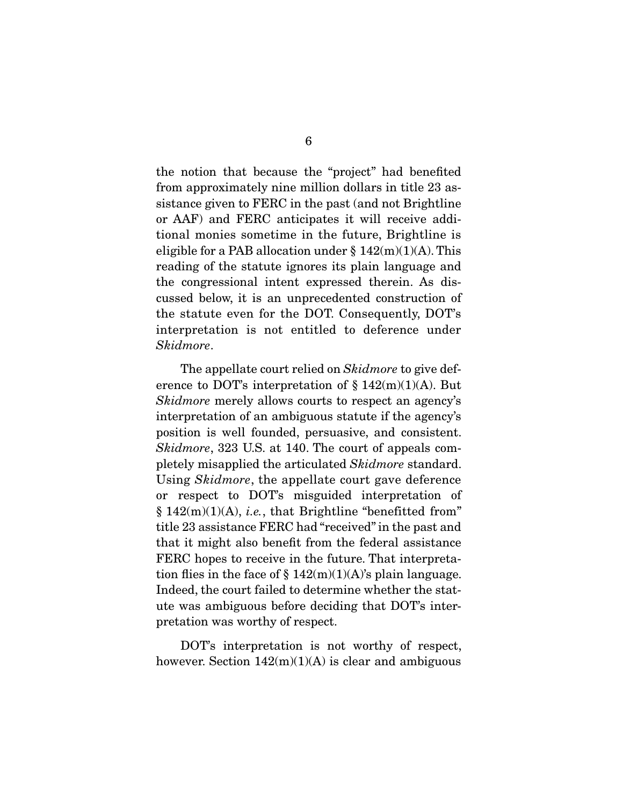the notion that because the "project" had benefited from approximately nine million dollars in title 23 assistance given to FERC in the past (and not Brightline or AAF) and FERC anticipates it will receive additional monies sometime in the future, Brightline is eligible for a PAB allocation under  $\S 142(m)(1)(A)$ . This reading of the statute ignores its plain language and the congressional intent expressed therein. As discussed below, it is an unprecedented construction of the statute even for the DOT. Consequently, DOT's interpretation is not entitled to deference under *Skidmore*.

 The appellate court relied on *Skidmore* to give deference to DOT's interpretation of  $\S 142(m)(1)(A)$ . But *Skidmore* merely allows courts to respect an agency's interpretation of an ambiguous statute if the agency's position is well founded, persuasive, and consistent. *Skidmore*, 323 U.S. at 140. The court of appeals completely misapplied the articulated *Skidmore* standard. Using *Skidmore*, the appellate court gave deference or respect to DOT's misguided interpretation of  $§ 142(m)(1)(A), i.e., that Brighthine "benefitted from"$ title 23 assistance FERC had "received" in the past and that it might also benefit from the federal assistance FERC hopes to receive in the future. That interpretation flies in the face of  $\S 142(m)(1)(A)$ 's plain language. Indeed, the court failed to determine whether the statute was ambiguous before deciding that DOT's interpretation was worthy of respect.

 DOT's interpretation is not worthy of respect, however. Section  $142(m)(1)(A)$  is clear and ambiguous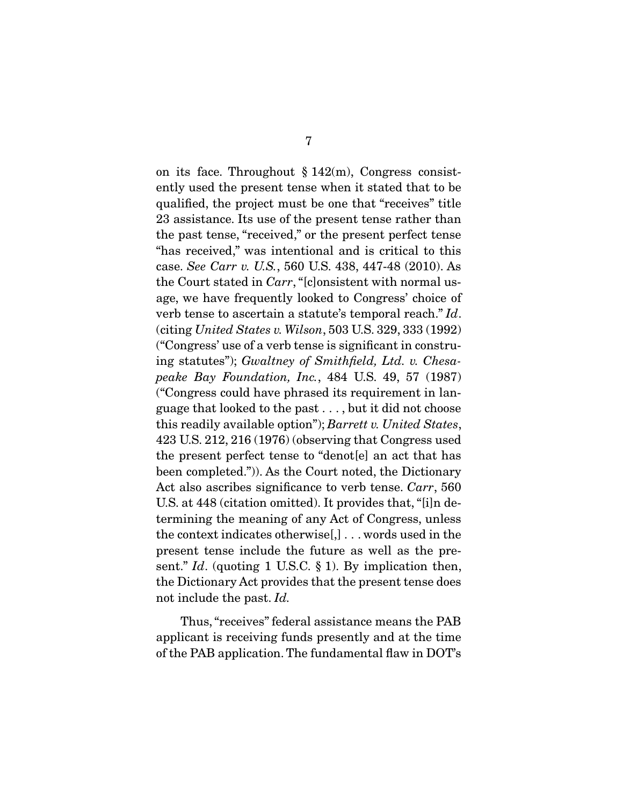on its face. Throughout  $\S 142(m)$ , Congress consistently used the present tense when it stated that to be qualified, the project must be one that "receives" title 23 assistance. Its use of the present tense rather than the past tense, "received," or the present perfect tense "has received," was intentional and is critical to this case. *See Carr v. U.S.*, 560 U.S. 438, 447-48 (2010). As the Court stated in *Carr*, "[c]onsistent with normal usage, we have frequently looked to Congress' choice of verb tense to ascertain a statute's temporal reach." *Id*. (citing *United States v. Wilson*, 503 U.S. 329, 333 (1992) ("Congress' use of a verb tense is significant in construing statutes"); *Gwaltney of Smithfield, Ltd. v. Chesapeake Bay Foundation, Inc.*, 484 U.S. 49, 57 (1987) ("Congress could have phrased its requirement in language that looked to the past . . . , but it did not choose this readily available option"); *Barrett v. United States*, 423 U.S. 212, 216 (1976) (observing that Congress used the present perfect tense to "denot[e] an act that has been completed.")). As the Court noted, the Dictionary Act also ascribes significance to verb tense. *Carr*, 560 U.S. at 448 (citation omitted). It provides that, "[i]n determining the meaning of any Act of Congress, unless the context indicates otherwise[,] . . . words used in the present tense include the future as well as the present." *Id*. (quoting 1 U.S.C. § 1). By implication then, the Dictionary Act provides that the present tense does not include the past. *Id.*

 Thus, "receives" federal assistance means the PAB applicant is receiving funds presently and at the time of the PAB application. The fundamental flaw in DOT's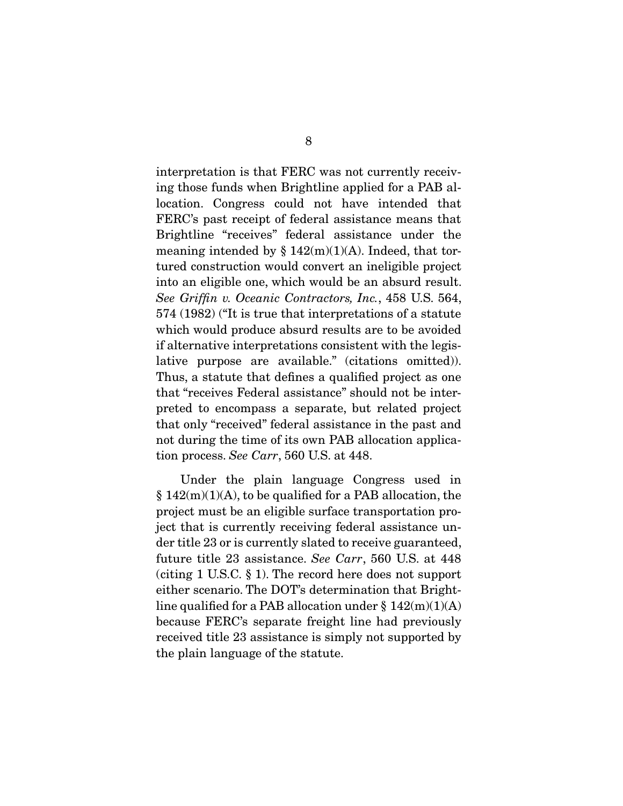interpretation is that FERC was not currently receiving those funds when Brightline applied for a PAB allocation. Congress could not have intended that FERC's past receipt of federal assistance means that Brightline "receives" federal assistance under the meaning intended by  $\S 142(m)(1)(A)$ . Indeed, that tortured construction would convert an ineligible project into an eligible one, which would be an absurd result. *See Griffin v. Oceanic Contractors, Inc.*, 458 U.S. 564, 574 (1982) ("It is true that interpretations of a statute which would produce absurd results are to be avoided if alternative interpretations consistent with the legislative purpose are available." (citations omitted)). Thus, a statute that defines a qualified project as one that "receives Federal assistance" should not be interpreted to encompass a separate, but related project that only "received" federal assistance in the past and not during the time of its own PAB allocation application process. *See Carr*, 560 U.S. at 448.

 Under the plain language Congress used in  $§ 142(m)(1)(A)$ , to be qualified for a PAB allocation, the project must be an eligible surface transportation project that is currently receiving federal assistance under title 23 or is currently slated to receive guaranteed, future title 23 assistance. *See Carr*, 560 U.S. at 448 (citing 1 U.S.C. § 1). The record here does not support either scenario. The DOT's determination that Brightline qualified for a PAB allocation under  $\S 142(m)(1)(A)$ because FERC's separate freight line had previously received title 23 assistance is simply not supported by the plain language of the statute.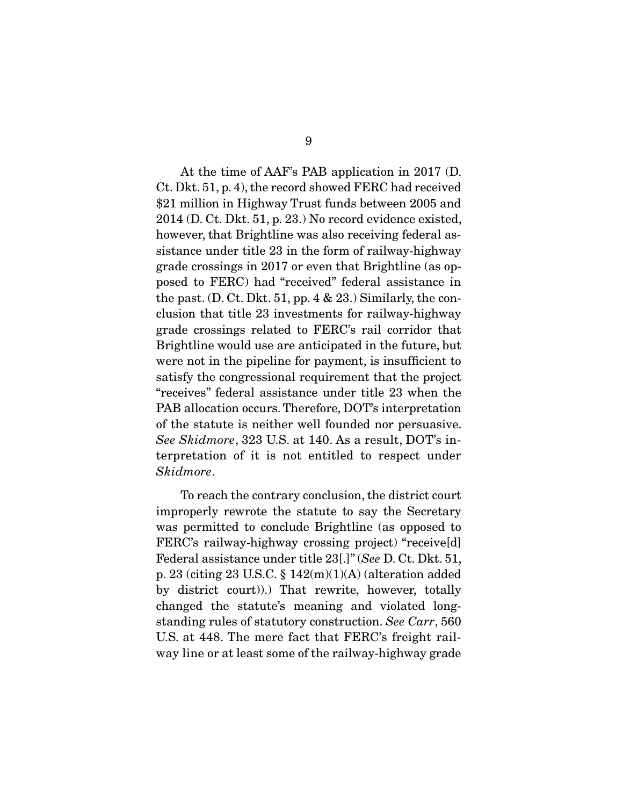At the time of AAF's PAB application in 2017 (D. Ct. Dkt. 51, p. 4), the record showed FERC had received \$21 million in Highway Trust funds between 2005 and 2014 (D. Ct. Dkt. 51, p. 23.) No record evidence existed, however, that Brightline was also receiving federal assistance under title 23 in the form of railway-highway grade crossings in 2017 or even that Brightline (as opposed to FERC) had "received" federal assistance in the past. (D. Ct. Dkt. 51, pp. 4  $\&$  23.) Similarly, the conclusion that title 23 investments for railway-highway grade crossings related to FERC's rail corridor that Brightline would use are anticipated in the future, but were not in the pipeline for payment, is insufficient to satisfy the congressional requirement that the project "receives" federal assistance under title 23 when the PAB allocation occurs. Therefore, DOT's interpretation of the statute is neither well founded nor persuasive. *See Skidmore*, 323 U.S. at 140. As a result, DOT's interpretation of it is not entitled to respect under *Skidmore*.

 To reach the contrary conclusion, the district court improperly rewrote the statute to say the Secretary was permitted to conclude Brightline (as opposed to FERC's railway-highway crossing project) "receive[d] Federal assistance under title 23[.]" (*See* D. Ct. Dkt. 51, p. 23 (citing 23 U.S.C. § 142(m)(1)(A) (alteration added by district court)).) That rewrite, however, totally changed the statute's meaning and violated longstanding rules of statutory construction. *See Carr*, 560 U.S. at 448. The mere fact that FERC's freight railway line or at least some of the railway-highway grade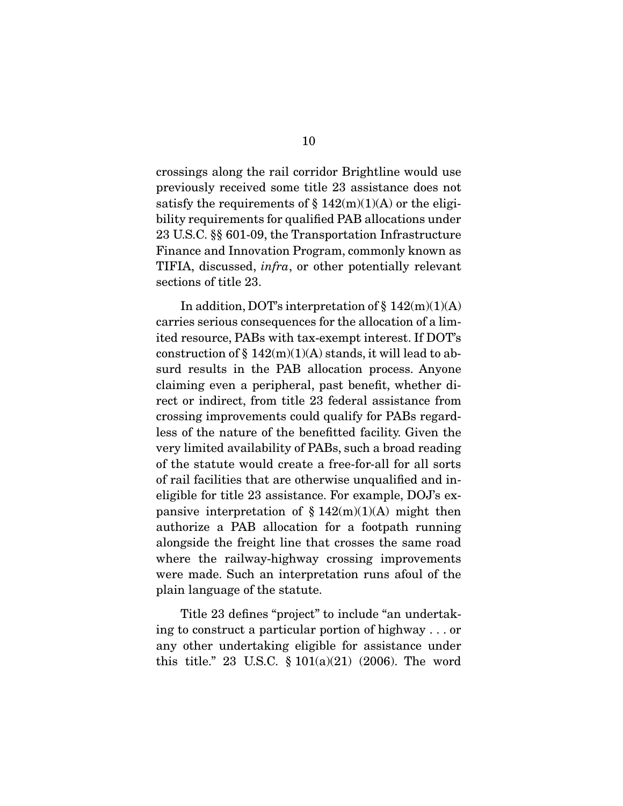crossings along the rail corridor Brightline would use previously received some title 23 assistance does not satisfy the requirements of  $\S 142(m)(1)(A)$  or the eligibility requirements for qualified PAB allocations under 23 U.S.C. §§ 601-09, the Transportation Infrastructure Finance and Innovation Program, commonly known as TIFIA, discussed, *infra*, or other potentially relevant sections of title 23.

 In addition, DOT's interpretation of § 142(m)(1)(A) carries serious consequences for the allocation of a limited resource, PABs with tax-exempt interest. If DOT's construction of  $\S 142(m)(1)(A)$  stands, it will lead to absurd results in the PAB allocation process. Anyone claiming even a peripheral, past benefit, whether direct or indirect, from title 23 federal assistance from crossing improvements could qualify for PABs regardless of the nature of the benefitted facility. Given the very limited availability of PABs, such a broad reading of the statute would create a free-for-all for all sorts of rail facilities that are otherwise unqualified and ineligible for title 23 assistance. For example, DOJ's expansive interpretation of  $§ 142(m)(1)(A)$  might then authorize a PAB allocation for a footpath running alongside the freight line that crosses the same road where the railway-highway crossing improvements were made. Such an interpretation runs afoul of the plain language of the statute.

 Title 23 defines "project" to include "an undertaking to construct a particular portion of highway . . . or any other undertaking eligible for assistance under this title." 23 U.S.C.  $\S 101(a)(21)$  (2006). The word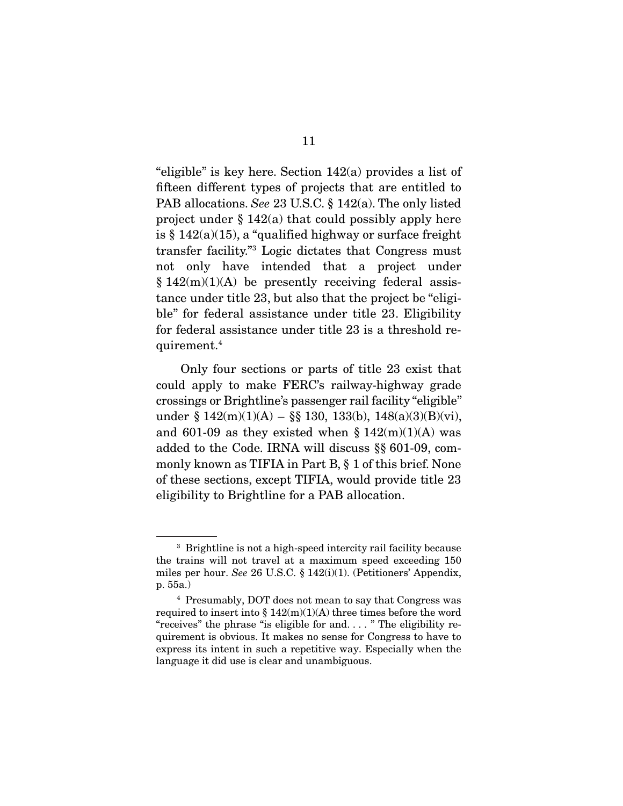"eligible" is key here. Section 142(a) provides a list of fifteen different types of projects that are entitled to PAB allocations. *See* 23 U.S.C. § 142(a). The only listed project under  $\S 142(a)$  that could possibly apply here is  $\S 142(a)(15)$ , a "qualified highway or surface freight transfer facility."3 Logic dictates that Congress must not only have intended that a project under  $§ 142(m)(1)(A)$  be presently receiving federal assistance under title 23, but also that the project be "eligible" for federal assistance under title 23. Eligibility for federal assistance under title 23 is a threshold requirement.4

 Only four sections or parts of title 23 exist that could apply to make FERC's railway-highway grade crossings or Brightline's passenger rail facility "eligible" under § 142(m)(1)(A) – §§ 130, 133(b), 148(a)(3)(B)(vi), and 601-09 as they existed when  $\S 142(m)(1)(A)$  was added to the Code. IRNA will discuss §§ 601-09, commonly known as TIFIA in Part B, § 1 of this brief. None of these sections, except TIFIA, would provide title 23 eligibility to Brightline for a PAB allocation.

<sup>3</sup> Brightline is not a high-speed intercity rail facility because the trains will not travel at a maximum speed exceeding 150 miles per hour. *See* 26 U.S.C. § 142(i)(1). (Petitioners' Appendix, p. 55a.)

<sup>4</sup> Presumably, DOT does not mean to say that Congress was required to insert into  $\S 142(m)(1)(A)$  three times before the word "receives" the phrase "is eligible for and. . . . " The eligibility requirement is obvious. It makes no sense for Congress to have to express its intent in such a repetitive way. Especially when the language it did use is clear and unambiguous.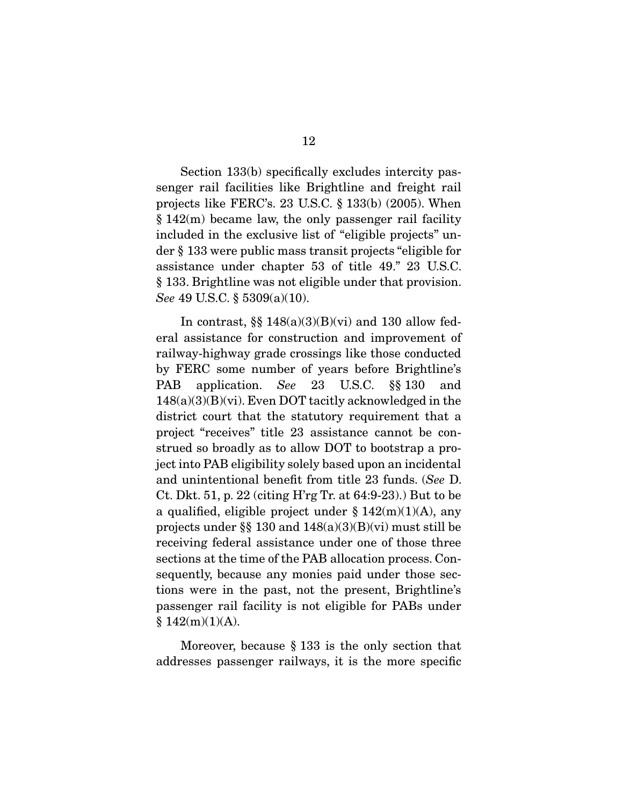Section 133(b) specifically excludes intercity passenger rail facilities like Brightline and freight rail projects like FERC's. 23 U.S.C. § 133(b) (2005). When § 142(m) became law, the only passenger rail facility included in the exclusive list of "eligible projects" under § 133 were public mass transit projects "eligible for assistance under chapter 53 of title 49." 23 U.S.C. § 133. Brightline was not eligible under that provision. *See* 49 U.S.C. § 5309(a)(10).

In contrast,  $\S$   $148(a)(3)(B)(vi)$  and 130 allow federal assistance for construction and improvement of railway-highway grade crossings like those conducted by FERC some number of years before Brightline's PAB application. *See* 23 U.S.C. §§ 130 and  $148(a)(3)(B)(vi)$ . Even DOT tacitly acknowledged in the district court that the statutory requirement that a project "receives" title 23 assistance cannot be construed so broadly as to allow DOT to bootstrap a project into PAB eligibility solely based upon an incidental and unintentional benefit from title 23 funds. (*See* D. Ct. Dkt. 51, p. 22 (citing H'rg Tr. at 64:9-23).) But to be a qualified, eligible project under  $\S 142(m)(1)(A)$ , any projects under §§ 130 and  $148(a)(3)(B)(vi)$  must still be receiving federal assistance under one of those three sections at the time of the PAB allocation process. Consequently, because any monies paid under those sections were in the past, not the present, Brightline's passenger rail facility is not eligible for PABs under  $§ 142(m)(1)(A).$ 

 Moreover, because § 133 is the only section that addresses passenger railways, it is the more specific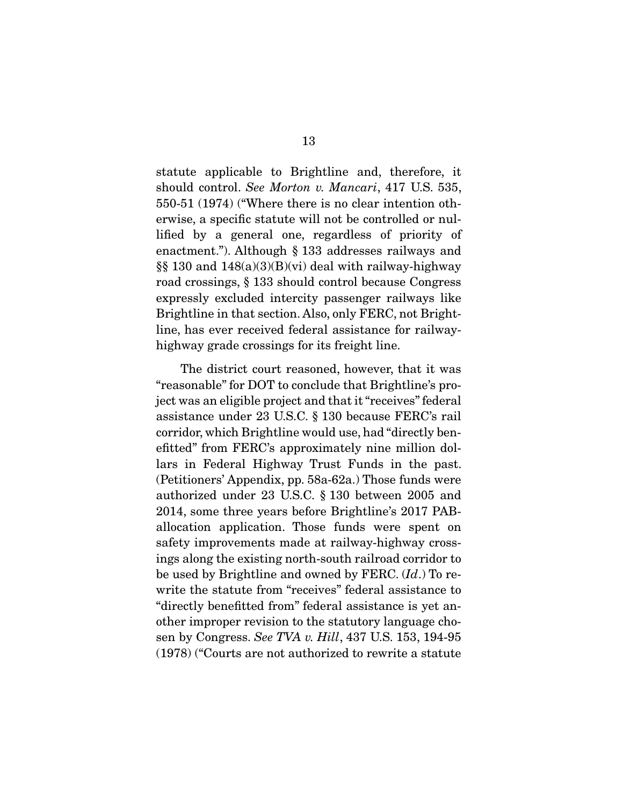statute applicable to Brightline and, therefore, it should control. *See Morton v. Mancari*, 417 U.S. 535, 550-51 (1974) ("Where there is no clear intention otherwise, a specific statute will not be controlled or nullified by a general one, regardless of priority of enactment."). Although § 133 addresses railways and §§ 130 and 148(a)(3)(B)(vi) deal with railway-highway road crossings, § 133 should control because Congress expressly excluded intercity passenger railways like Brightline in that section. Also, only FERC, not Brightline, has ever received federal assistance for railwayhighway grade crossings for its freight line.

 The district court reasoned, however, that it was "reasonable" for DOT to conclude that Brightline's project was an eligible project and that it "receives" federal assistance under 23 U.S.C. § 130 because FERC's rail corridor, which Brightline would use, had "directly benefitted" from FERC's approximately nine million dollars in Federal Highway Trust Funds in the past. (Petitioners' Appendix, pp. 58a-62a.) Those funds were authorized under 23 U.S.C. § 130 between 2005 and 2014, some three years before Brightline's 2017 PABallocation application. Those funds were spent on safety improvements made at railway-highway crossings along the existing north-south railroad corridor to be used by Brightline and owned by FERC. (*Id*.) To rewrite the statute from "receives" federal assistance to "directly benefitted from" federal assistance is yet another improper revision to the statutory language chosen by Congress. *See TVA v. Hill*, 437 U.S. 153, 194-95 (1978) ("Courts are not authorized to rewrite a statute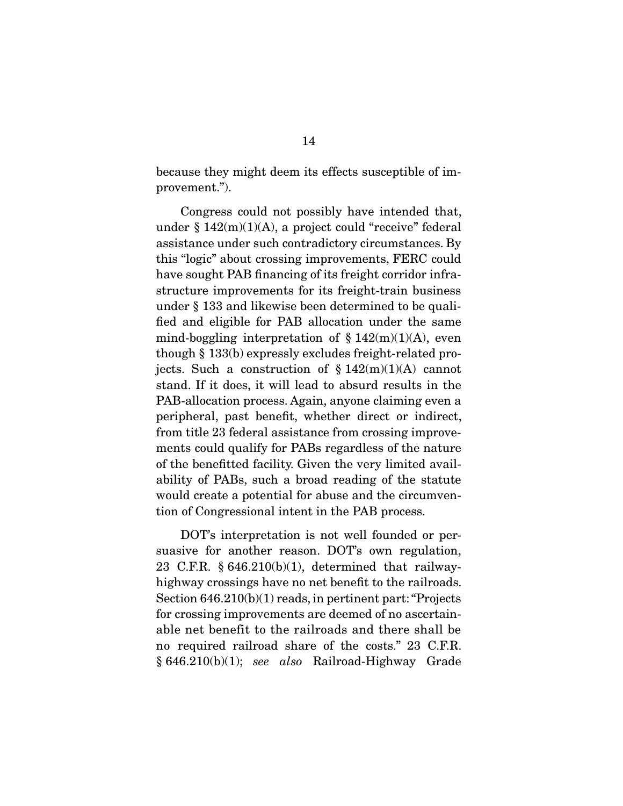because they might deem its effects susceptible of improvement.").

 Congress could not possibly have intended that, under  $§ 142(m)(1)(A)$ , a project could "receive" federal assistance under such contradictory circumstances. By this "logic" about crossing improvements, FERC could have sought PAB financing of its freight corridor infrastructure improvements for its freight-train business under § 133 and likewise been determined to be qualified and eligible for PAB allocation under the same mind-boggling interpretation of  $\S 142(m)(1)(A)$ , even though § 133(b) expressly excludes freight-related projects. Such a construction of  $§ 142(m)(1)(A)$  cannot stand. If it does, it will lead to absurd results in the PAB-allocation process. Again, anyone claiming even a peripheral, past benefit, whether direct or indirect, from title 23 federal assistance from crossing improvements could qualify for PABs regardless of the nature of the benefitted facility. Given the very limited availability of PABs, such a broad reading of the statute would create a potential for abuse and the circumvention of Congressional intent in the PAB process.

 DOT's interpretation is not well founded or persuasive for another reason. DOT's own regulation, 23 C.F.R. § 646.210(b)(1), determined that railwayhighway crossings have no net benefit to the railroads. Section 646.210(b)(1) reads, in pertinent part: "Projects for crossing improvements are deemed of no ascertainable net benefit to the railroads and there shall be no required railroad share of the costs." 23 C.F.R. § 646.210(b)(1); *see also* Railroad-Highway Grade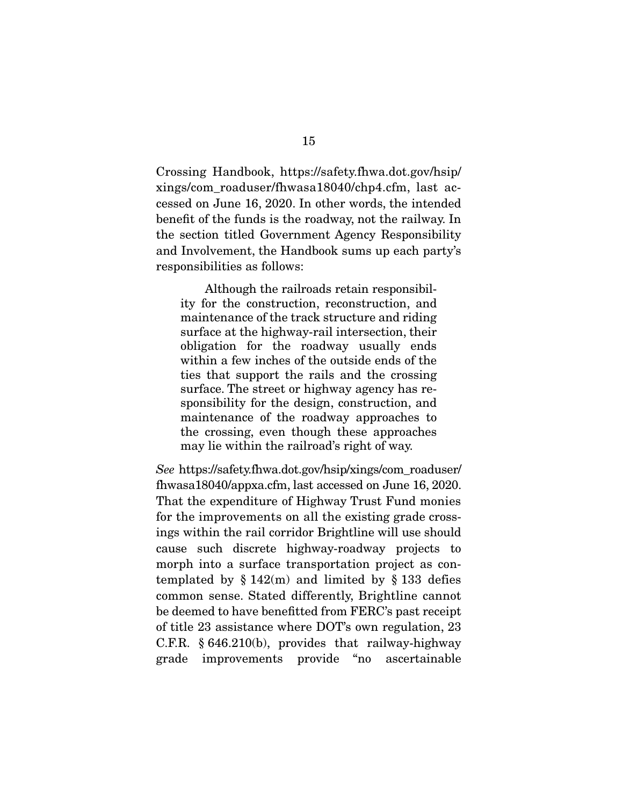Crossing Handbook, https://safety.fhwa.dot.gov/hsip/ xings/com\_roaduser/fhwasa18040/chp4.cfm, last accessed on June 16, 2020. In other words, the intended benefit of the funds is the roadway, not the railway. In the section titled Government Agency Responsibility and Involvement, the Handbook sums up each party's responsibilities as follows:

 Although the railroads retain responsibility for the construction, reconstruction, and maintenance of the track structure and riding surface at the highway-rail intersection, their obligation for the roadway usually ends within a few inches of the outside ends of the ties that support the rails and the crossing surface. The street or highway agency has responsibility for the design, construction, and maintenance of the roadway approaches to the crossing, even though these approaches may lie within the railroad's right of way.

*See* https://safety.fhwa.dot.gov/hsip/xings/com\_roaduser/ fhwasa18040/appxa.cfm, last accessed on June 16, 2020. That the expenditure of Highway Trust Fund monies for the improvements on all the existing grade crossings within the rail corridor Brightline will use should cause such discrete highway-roadway projects to morph into a surface transportation project as contemplated by  $\S 142(m)$  and limited by  $\S 133$  defies common sense. Stated differently, Brightline cannot be deemed to have benefitted from FERC's past receipt of title 23 assistance where DOT's own regulation, 23 C.F.R. § 646.210(b), provides that railway-highway grade improvements provide "no ascertainable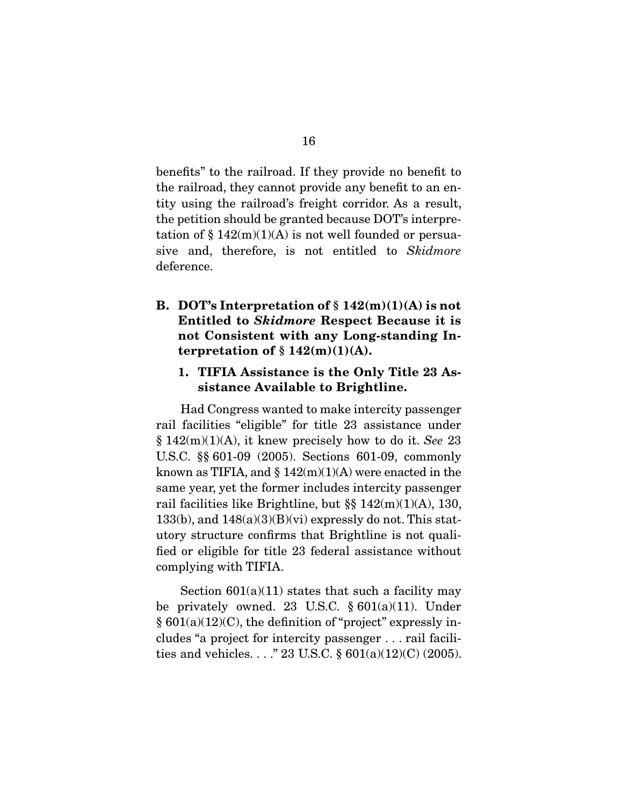benefits" to the railroad. If they provide no benefit to the railroad, they cannot provide any benefit to an entity using the railroad's freight corridor. As a result, the petition should be granted because DOT's interpretation of  $\S 142(m)(1)(A)$  is not well founded or persuasive and, therefore, is not entitled to *Skidmore* deference.

B. DOT's Interpretation of  $\S 142(m)(1)(A)$  is not Entitled to *Skidmore* Respect Because it is not Consistent with any Long-standing Interpretation of  $\S 142(m)(1)(A)$ .

#### 1. TIFIA Assistance is the Only Title 23 Assistance Available to Brightline.

 Had Congress wanted to make intercity passenger rail facilities "eligible" for title 23 assistance under § 142(m)(1)(A), it knew precisely how to do it. *See* 23 U.S.C. §§ 601-09 (2005). Sections 601-09, commonly known as TIFIA, and  $\S 142(m)(1)(A)$  were enacted in the same year, yet the former includes intercity passenger rail facilities like Brightline, but §§ 142(m)(1)(A), 130,  $133(b)$ , and  $148(a)(3)(B)(vi)$  expressly do not. This statutory structure confirms that Brightline is not qualified or eligible for title 23 federal assistance without complying with TIFIA.

Section  $601(a)(11)$  states that such a facility may be privately owned. 23 U.S.C.  $§ 601(a)(11)$ . Under  $§ 601(a)(12)(C)$ , the definition of "project" expressly includes "a project for intercity passenger . . . rail facilities and vehicles. . . ." 23 U.S.C.  $\S 601(a)(12)(C) (2005)$ .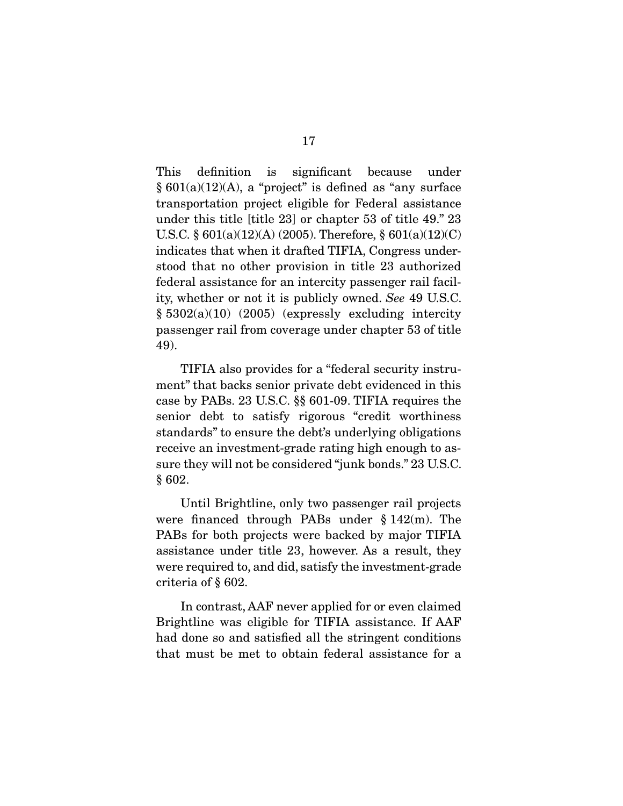This definition is significant because under  $§ 601(a)(12)(A)$ , a "project" is defined as "any surface transportation project eligible for Federal assistance under this title [title 23] or chapter 53 of title 49." 23 U.S.C. § 601(a)(12)(A) (2005). Therefore, § 601(a)(12)(C) indicates that when it drafted TIFIA, Congress understood that no other provision in title 23 authorized federal assistance for an intercity passenger rail facility, whether or not it is publicly owned. *See* 49 U.S.C. § 5302(a)(10) (2005) (expressly excluding intercity passenger rail from coverage under chapter 53 of title 49).

 TIFIA also provides for a "federal security instrument" that backs senior private debt evidenced in this case by PABs. 23 U.S.C. §§ 601-09. TIFIA requires the senior debt to satisfy rigorous "credit worthiness standards" to ensure the debt's underlying obligations receive an investment-grade rating high enough to assure they will not be considered "junk bonds." 23 U.S.C. § 602.

 Until Brightline, only two passenger rail projects were financed through PABs under § 142(m). The PABs for both projects were backed by major TIFIA assistance under title 23, however. As a result, they were required to, and did, satisfy the investment-grade criteria of § 602.

 In contrast, AAF never applied for or even claimed Brightline was eligible for TIFIA assistance. If AAF had done so and satisfied all the stringent conditions that must be met to obtain federal assistance for a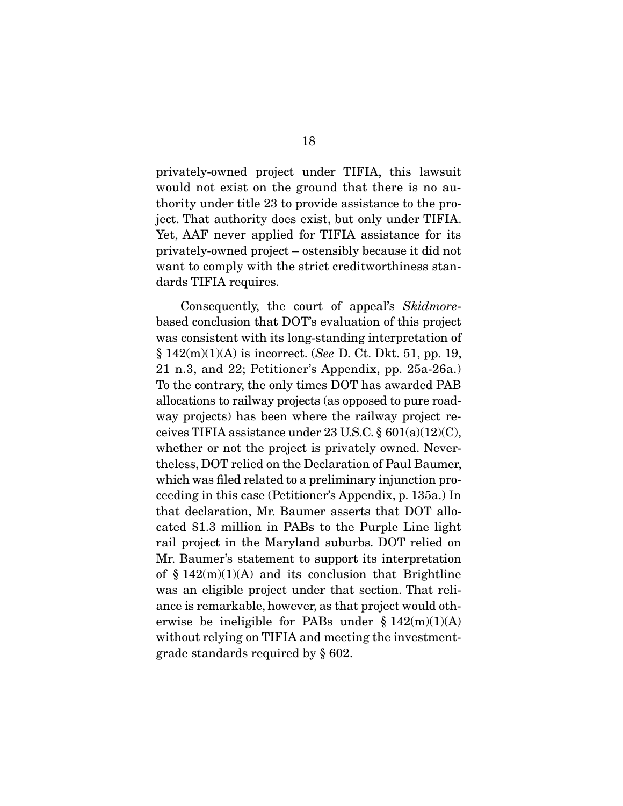privately-owned project under TIFIA, this lawsuit would not exist on the ground that there is no authority under title 23 to provide assistance to the project. That authority does exist, but only under TIFIA. Yet, AAF never applied for TIFIA assistance for its privately-owned project – ostensibly because it did not want to comply with the strict creditworthiness standards TIFIA requires.

 Consequently, the court of appeal's *Skidmore*based conclusion that DOT's evaluation of this project was consistent with its long-standing interpretation of § 142(m)(1)(A) is incorrect. (*See* D. Ct. Dkt. 51, pp. 19, 21 n.3, and 22; Petitioner's Appendix, pp. 25a-26a.) To the contrary, the only times DOT has awarded PAB allocations to railway projects (as opposed to pure roadway projects) has been where the railway project receives TIFIA assistance under 23 U.S.C. § 601(a)(12)(C), whether or not the project is privately owned. Nevertheless, DOT relied on the Declaration of Paul Baumer, which was filed related to a preliminary injunction proceeding in this case (Petitioner's Appendix, p. 135a.) In that declaration, Mr. Baumer asserts that DOT allocated \$1.3 million in PABs to the Purple Line light rail project in the Maryland suburbs. DOT relied on Mr. Baumer's statement to support its interpretation of  $\S 142(m)(1)(A)$  and its conclusion that Brightline was an eligible project under that section. That reliance is remarkable, however, as that project would otherwise be ineligible for PABs under  $§ 142(m)(1)(A)$ without relying on TIFIA and meeting the investmentgrade standards required by § 602.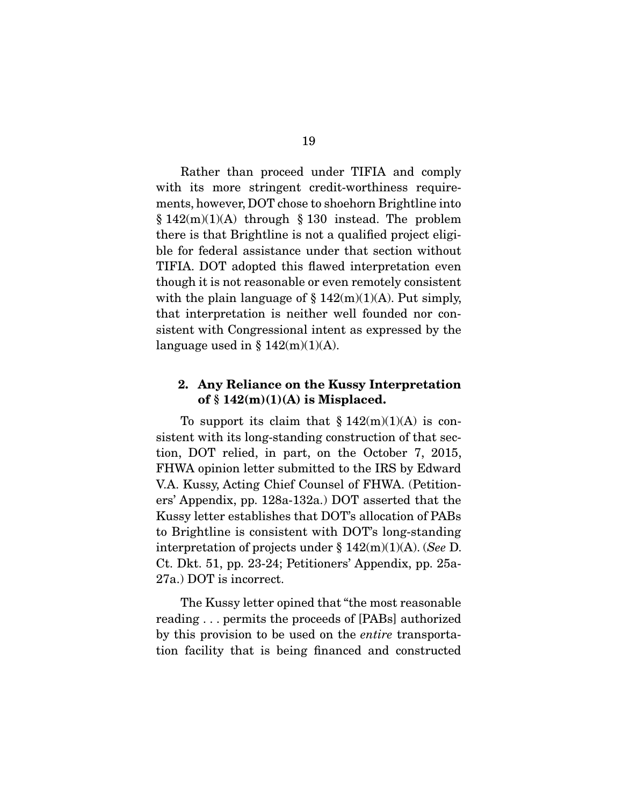Rather than proceed under TIFIA and comply with its more stringent credit-worthiness requirements, however, DOT chose to shoehorn Brightline into  $§ 142(m)(1)(A)$  through § 130 instead. The problem there is that Brightline is not a qualified project eligible for federal assistance under that section without TIFIA. DOT adopted this flawed interpretation even though it is not reasonable or even remotely consistent with the plain language of  $\S 142(m)(1)(A)$ . Put simply, that interpretation is neither well founded nor consistent with Congressional intent as expressed by the language used in  $\S 142(m)(1)(A)$ .

#### 2. Any Reliance on the Kussy Interpretation of  $§ 142(m)(1)(A)$  is Misplaced.

To support its claim that  $\S 142(m)(1)(A)$  is consistent with its long-standing construction of that section, DOT relied, in part, on the October 7, 2015, FHWA opinion letter submitted to the IRS by Edward V.A. Kussy, Acting Chief Counsel of FHWA. (Petitioners' Appendix, pp. 128a-132a.) DOT asserted that the Kussy letter establishes that DOT's allocation of PABs to Brightline is consistent with DOT's long-standing interpretation of projects under § 142(m)(1)(A). (*See* D. Ct. Dkt. 51, pp. 23-24; Petitioners' Appendix, pp. 25a-27a.) DOT is incorrect.

 The Kussy letter opined that "the most reasonable reading . . . permits the proceeds of [PABs] authorized by this provision to be used on the *entire* transportation facility that is being financed and constructed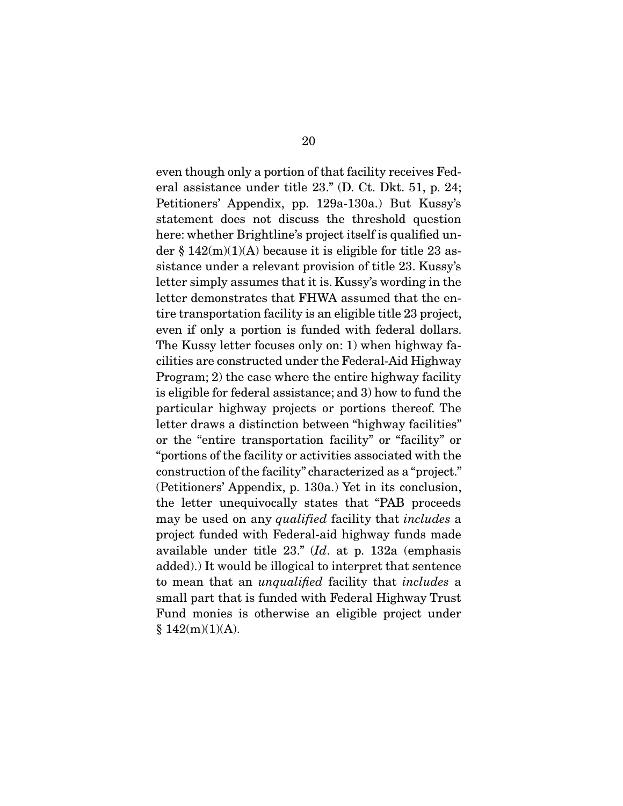even though only a portion of that facility receives Federal assistance under title 23." (D. Ct. Dkt. 51, p. 24; Petitioners' Appendix, pp. 129a-130a.) But Kussy's statement does not discuss the threshold question here: whether Brightline's project itself is qualified under  $\S 142(m)(1)(A)$  because it is eligible for title 23 assistance under a relevant provision of title 23. Kussy's letter simply assumes that it is. Kussy's wording in the letter demonstrates that FHWA assumed that the entire transportation facility is an eligible title 23 project, even if only a portion is funded with federal dollars. The Kussy letter focuses only on: 1) when highway facilities are constructed under the Federal-Aid Highway Program; 2) the case where the entire highway facility is eligible for federal assistance; and 3) how to fund the particular highway projects or portions thereof. The letter draws a distinction between "highway facilities" or the "entire transportation facility" or "facility" or "portions of the facility or activities associated with the construction of the facility" characterized as a "project." (Petitioners' Appendix, p. 130a.) Yet in its conclusion, the letter unequivocally states that "PAB proceeds may be used on any *qualified* facility that *includes* a project funded with Federal-aid highway funds made available under title 23." (*Id*. at p. 132a (emphasis added).) It would be illogical to interpret that sentence to mean that an *unqualified* facility that *includes* a small part that is funded with Federal Highway Trust Fund monies is otherwise an eligible project under  $§ 142(m)(1)(A).$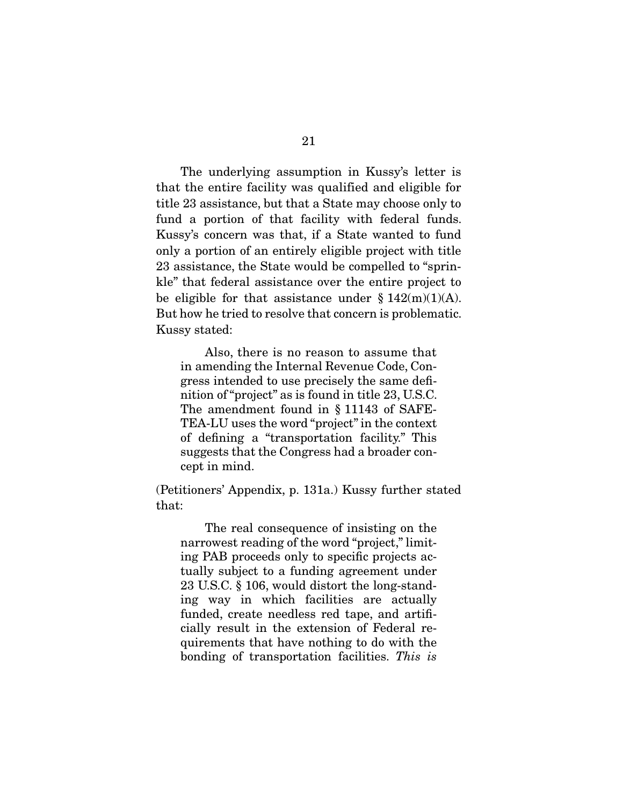The underlying assumption in Kussy's letter is that the entire facility was qualified and eligible for title 23 assistance, but that a State may choose only to fund a portion of that facility with federal funds. Kussy's concern was that, if a State wanted to fund only a portion of an entirely eligible project with title 23 assistance, the State would be compelled to "sprinkle" that federal assistance over the entire project to be eligible for that assistance under  $\S 142(m)(1)(A)$ . But how he tried to resolve that concern is problematic. Kussy stated:

 Also, there is no reason to assume that in amending the Internal Revenue Code, Congress intended to use precisely the same definition of "project" as is found in title 23, U.S.C. The amendment found in § 11143 of SAFE-TEA-LU uses the word "project" in the context of defining a "transportation facility." This suggests that the Congress had a broader concept in mind.

(Petitioners' Appendix, p. 131a.) Kussy further stated that:

 The real consequence of insisting on the narrowest reading of the word "project," limiting PAB proceeds only to specific projects actually subject to a funding agreement under 23 U.S.C. § 106, would distort the long-standing way in which facilities are actually funded, create needless red tape, and artificially result in the extension of Federal requirements that have nothing to do with the bonding of transportation facilities. *This is*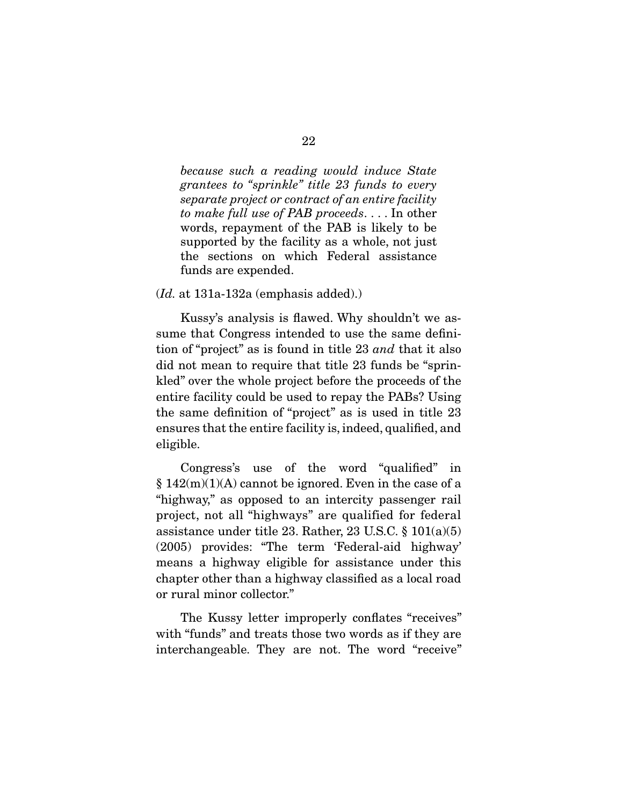*because such a reading would induce State grantees to "sprinkle" title 23 funds to every separate project or contract of an entire facility to make full use of PAB proceeds*. . . . In other words, repayment of the PAB is likely to be supported by the facility as a whole, not just the sections on which Federal assistance funds are expended.

(*Id.* at 131a-132a (emphasis added).)

 Kussy's analysis is flawed. Why shouldn't we assume that Congress intended to use the same definition of "project" as is found in title 23 *and* that it also did not mean to require that title 23 funds be "sprinkled" over the whole project before the proceeds of the entire facility could be used to repay the PABs? Using the same definition of "project" as is used in title 23 ensures that the entire facility is, indeed, qualified, and eligible.

 Congress's use of the word "qualified" in  $§ 142(m)(1)(A)$  cannot be ignored. Even in the case of a "highway," as opposed to an intercity passenger rail project, not all "highways" are qualified for federal assistance under title 23. Rather, 23 U.S.C.  $\S 101(a)(5)$ (2005) provides: "The term 'Federal-aid highway' means a highway eligible for assistance under this chapter other than a highway classified as a local road or rural minor collector."

 The Kussy letter improperly conflates "receives" with "funds" and treats those two words as if they are interchangeable. They are not. The word "receive"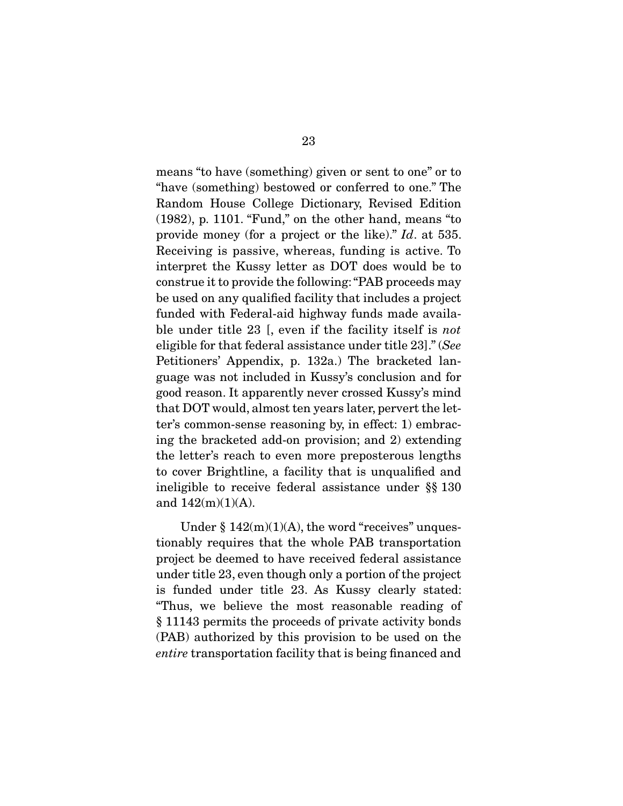means "to have (something) given or sent to one" or to "have (something) bestowed or conferred to one." The Random House College Dictionary, Revised Edition (1982), p. 1101. "Fund," on the other hand, means "to provide money (for a project or the like)." *Id*. at 535. Receiving is passive, whereas, funding is active. To interpret the Kussy letter as DOT does would be to construe it to provide the following: "PAB proceeds may be used on any qualified facility that includes a project funded with Federal-aid highway funds made available under title 23 [, even if the facility itself is *not* eligible for that federal assistance under title 23]." (*See*  Petitioners' Appendix, p. 132a.) The bracketed language was not included in Kussy's conclusion and for good reason. It apparently never crossed Kussy's mind that DOT would, almost ten years later, pervert the letter's common-sense reasoning by, in effect: 1) embracing the bracketed add-on provision; and 2) extending the letter's reach to even more preposterous lengths to cover Brightline, a facility that is unqualified and ineligible to receive federal assistance under §§ 130 and 142(m)(1)(A).

Under  $§ 142(m)(1)(A)$ , the word "receives" unquestionably requires that the whole PAB transportation project be deemed to have received federal assistance under title 23, even though only a portion of the project is funded under title 23. As Kussy clearly stated: "Thus, we believe the most reasonable reading of § 11143 permits the proceeds of private activity bonds (PAB) authorized by this provision to be used on the *entire* transportation facility that is being financed and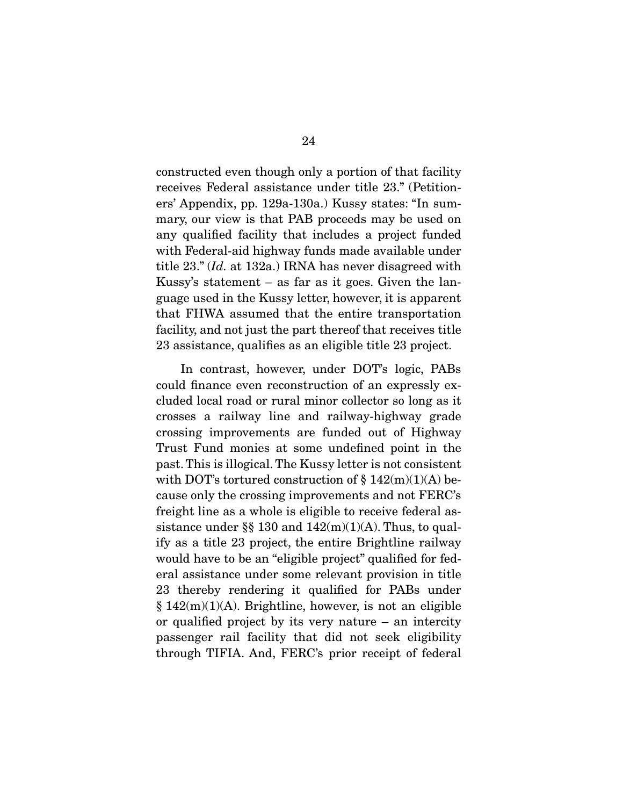constructed even though only a portion of that facility receives Federal assistance under title 23." (Petitioners' Appendix, pp. 129a-130a.) Kussy states: "In summary, our view is that PAB proceeds may be used on any qualified facility that includes a project funded with Federal-aid highway funds made available under title 23." (*Id.* at 132a.) IRNA has never disagreed with Kussy's statement – as far as it goes. Given the language used in the Kussy letter, however, it is apparent that FHWA assumed that the entire transportation facility, and not just the part thereof that receives title 23 assistance, qualifies as an eligible title 23 project.

 In contrast, however, under DOT's logic, PABs could finance even reconstruction of an expressly excluded local road or rural minor collector so long as it crosses a railway line and railway-highway grade crossing improvements are funded out of Highway Trust Fund monies at some undefined point in the past. This is illogical. The Kussy letter is not consistent with DOT's tortured construction of  $\S 142(m)(1)(A)$  because only the crossing improvements and not FERC's freight line as a whole is eligible to receive federal assistance under §§ 130 and  $142(m)(1)(A)$ . Thus, to qualify as a title 23 project, the entire Brightline railway would have to be an "eligible project" qualified for federal assistance under some relevant provision in title 23 thereby rendering it qualified for PABs under  $§ 142(m)(1)(A)$ . Brightline, however, is not an eligible or qualified project by its very nature – an intercity passenger rail facility that did not seek eligibility through TIFIA. And, FERC's prior receipt of federal